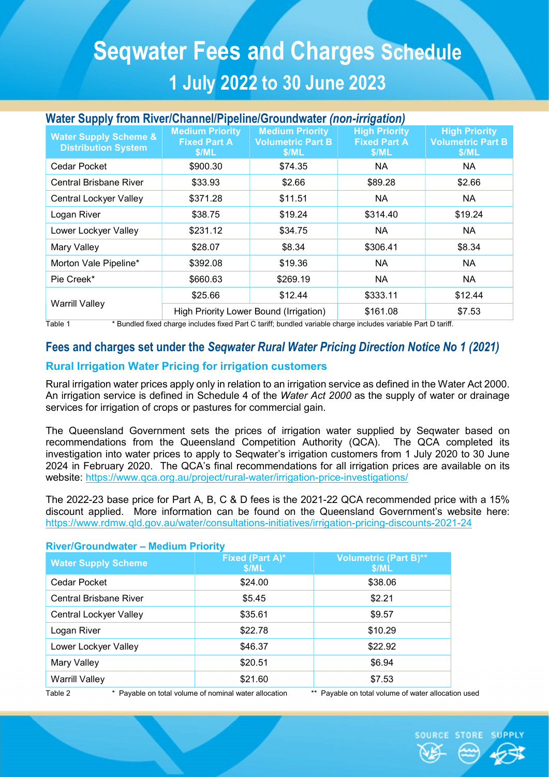# Seqwater Fees and Charges Schedule 1 July 2022 to 30 June 2023

## Water Supply from River/Channel/Pipeline/Groundwater (non-irrigation)

| <b>Water Supply Scheme &amp;</b><br><b>Distribution System</b> | <b>Medium Priority</b><br><b>Fixed Part A</b><br>\$/ML | <b>Medium Priority</b><br><b>Volumetric Part B</b><br>\$/ML | <b>High Priority</b><br><b>Fixed Part A</b><br>\$/ML | <b>High Priority</b><br><b>Volumetric Part B</b><br>\$/ML |
|----------------------------------------------------------------|--------------------------------------------------------|-------------------------------------------------------------|------------------------------------------------------|-----------------------------------------------------------|
| Cedar Pocket                                                   | \$900.30                                               | \$74.35                                                     | <b>NA</b>                                            | NA                                                        |
| <b>Central Brisbane River</b>                                  | \$33.93                                                | \$2.66                                                      | \$89.28                                              | \$2.66                                                    |
| Central Lockyer Valley                                         | \$371.28                                               | \$11.51                                                     | <b>NA</b>                                            | <b>NA</b>                                                 |
| Logan River                                                    | \$38.75                                                | \$19.24                                                     | \$314.40                                             | \$19.24                                                   |
| Lower Lockyer Valley                                           | \$231.12                                               | \$34.75                                                     | <b>NA</b>                                            | <b>NA</b>                                                 |
| Mary Valley                                                    | \$28.07                                                | \$8.34                                                      | \$306.41                                             | \$8.34                                                    |
| Morton Vale Pipeline*                                          | \$392.08                                               | \$19.36                                                     | <b>NA</b>                                            | <b>NA</b>                                                 |
| Pie Creek*                                                     | \$660.63                                               | \$269.19                                                    | <b>NA</b>                                            | <b>NA</b>                                                 |
| <b>Warrill Valley</b>                                          | \$25.66                                                | \$12.44                                                     | \$333.11                                             | \$12.44                                                   |
|                                                                | High Priority Lower Bound (Irrigation)                 |                                                             | \$161.08                                             | \$7.53                                                    |

Table 1 \* Bundled fixed charge includes fixed Part C tariff; bundled variable charge includes variable Part D tariff.

## Fees and charges set under the Seqwater Rural Water Pricing Direction Notice No 1 (2021)

## Rural Irrigation Water Pricing for irrigation customers

Rural irrigation water prices apply only in relation to an irrigation service as defined in the Water Act 2000. An irrigation service is defined in Schedule 4 of the Water Act 2000 as the supply of water or drainage services for irrigation of crops or pastures for commercial gain.

The Queensland Government sets the prices of irrigation water supplied by Seqwater based on recommendations from the Queensland Competition Authority (QCA). The QCA completed its investigation into water prices to apply to Seqwater's irrigation customers from 1 July 2020 to 30 June 2024 in February 2020. The QCA's final recommendations for all irrigation prices are available on its website: https://www.qca.org.au/project/rural-water/irrigation-price-investigations/

The 2022-23 base price for Part A, B, C & D fees is the 2021-22 QCA recommended price with a 15% discount applied. More information can be found on the Queensland Government's website here: https://www.rdmw.qld.gov.au/water/consultations-initiatives/irrigation-pricing-discounts-2021-24

# River/Groundwater – Medium Priority

| <b>Water Supply Scheme</b> | Fixed (Part A)*<br>\$/ML                              | <b>Volumetric (Part B)**</b><br>\$/ML               |
|----------------------------|-------------------------------------------------------|-----------------------------------------------------|
| Cedar Pocket               | \$24.00                                               | \$38.06                                             |
| Central Brisbane River     | \$5.45                                                | \$2.21                                              |
| Central Lockyer Valley     | \$35.61                                               | \$9.57                                              |
| Logan River                | \$22.78                                               | \$10.29                                             |
| Lower Lockyer Valley       | \$46.37                                               | \$22.92                                             |
| Mary Valley                | \$20.51                                               | \$6.94                                              |
| <b>Warrill Valley</b>      | \$21.60                                               | \$7.53                                              |
| Table 2                    | * Payable on total volume of nominal water allocation | ** Payable on total volume of water allocation used |